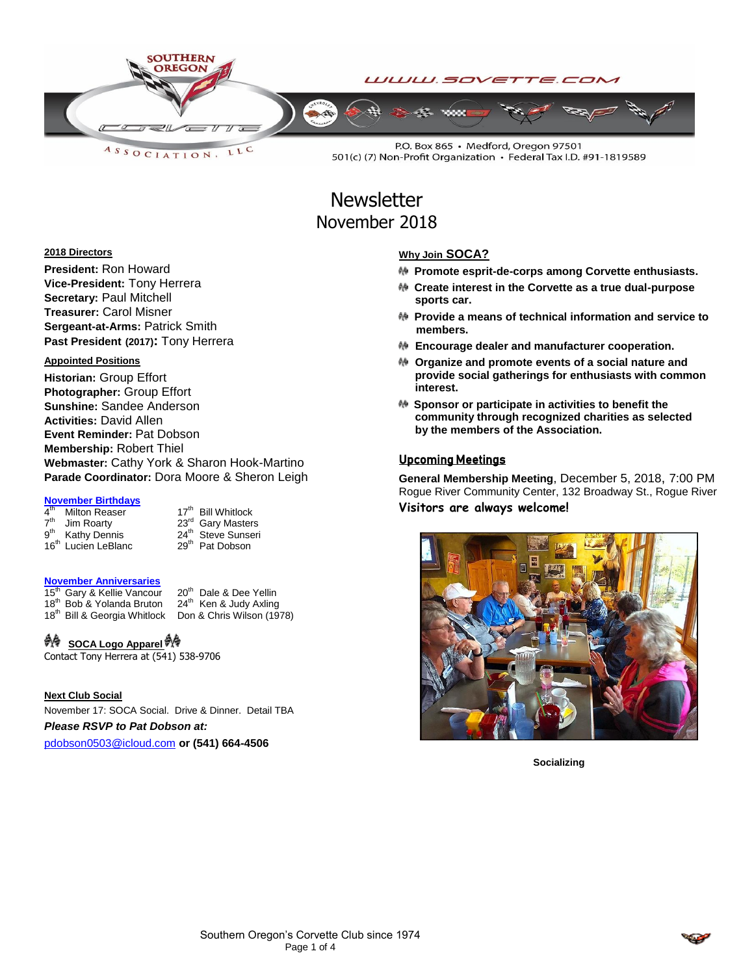

**Newsletter** November 2018

#### **2018 Directors**

**President:** Ron Howard **Vice-President:** Tony Herrera **Secretary:** Paul Mitchell **Treasurer:** Carol Misner **Sergeant-at-Arms:** Patrick Smith **Past President (2017):** Tony Herrera

### **Appointed Positions**

**Historian:** Group Effort **Photographer:** Group Effort **Sunshine:** Sandee Anderson **Activities:** David Allen **Event Reminder:** Pat Dobson **Membership:** Robert Thiel **Webmaster:** Cathy York & Sharon Hook-Martino **Parade Coordinator:** Dora Moore & Sheron Leigh

# **November Birthdays**<br>4<sup>th</sup> Milton Reaser

 $4<sup>th</sup>$  $7<sup>th</sup>$  $9<sup>th</sup>$ 16<sup>th</sup> Lucien LeBlanc

17<sup>th</sup> Bill Whitlock Jim Roarty<br>
Kathy Dennis 23<sup>rd</sup> Gary Masters<br>
24<sup>th</sup> Steve Sunseri 24<sup>th</sup> Steve Sunseri<br>29<sup>th</sup> Pat Dobson

#### **November Anniversaries**

 $15<sup>th</sup>$  Gary & Kellie Vancour  $20<sup>th</sup>$  Dale & Dee Yellin 18<sup>th</sup> Rob & Yolanda Bruton  $24<sup>th</sup>$  Ken & Judy Axling 18th Bob & Yolanda Bruton 24th Ken & Judy Axling<br>18th Bob & Yolanda Bruton 24th Ken & Judy Axling  $18<sup>th</sup>$  Bill & Georgia Whitlock

# **A SOCA Logo Apparel**

Contact Tony Herrera at (541) 538-9706

#### **Next Club Social**

November 17: SOCA Social. Drive & Dinner. Detail TBA *Please RSVP to Pat Dobson at:*

[pdobson0503@icloud.com](mailto:pdobson0503@icloud.com) **or (541) 664-4506**

#### **Why Join SOCA?**

- **Promote esprit-de-corps among Corvette enthusiasts.**
- **Create interest in the Corvette as a true dual-purpose sports car.**
- **Provide a means of technical information and service to members.**
- **Encourage dealer and manufacturer cooperation.**
- **Organize and promote events of a social nature and provide social gatherings for enthusiasts with common interest.**
- **Sponsor or participate in activities to benefit the community through recognized charities as selected by the members of the Association.**

#### Upcoming Meetings

**General Membership Meeting**, December 5, 2018, 7:00 PM Rogue River Community Center, 132 Broadway St., Rogue River **Visitors are always welcome!**



**Socializing**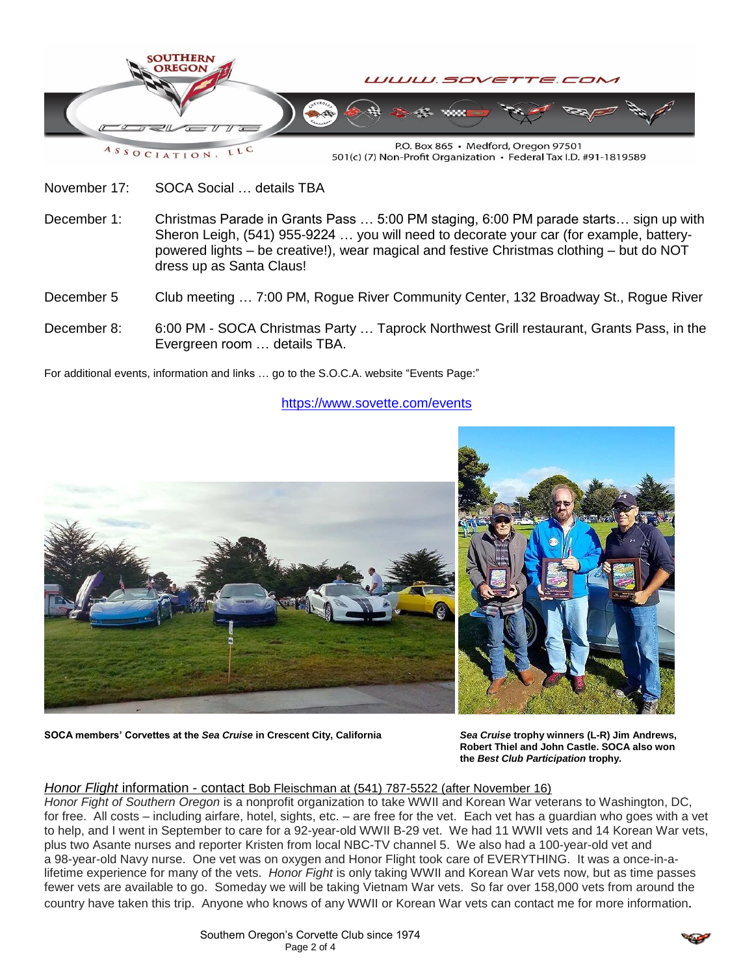

501(c) (7) Non-Profit Organization · Federal Tax I.D. #91-1819589

November 17: SOCA Social … details TBA

- December 1: Christmas Parade in Grants Pass ... 5:00 PM staging, 6:00 PM parade starts... sign up with Sheron Leigh, (541) 955-9224 … you will need to decorate your car (for example, batterypowered lights – be creative!), wear magical and festive Christmas clothing – but do NOT dress up as Santa Claus!
- December 5 Club meeting … 7:00 PM, Rogue River Community Center, 132 Broadway St., Rogue River
- December 8: 6:00 PM SOCA Christmas Party … Taprock Northwest Grill restaurant, Grants Pass, in the Evergreen room … details TBA.

For additional events, information and links … go to the S.O.C.A. website "Events Page:"

<https://www.sovette.com/events>



**SOCA members' Corvettes at the** *Sea Cruise* **in Crescent City, California** *Sea Cruise* **trophy winners (L-R) Jim Andrews,**

**Robert Thiel and John Castle. SOCA also won the** *Best Club Participation* **trophy.**

# *Honor Flight* information - contact Bob Fleischman at (541) 787-5522 (after November 16)

*Honor Fight of Southern Oregon* is a nonprofit organization to take WWII and Korean War veterans to Washington, DC, for free. All costs – including airfare, hotel, sights, etc. – are free for the vet. Each vet has a guardian who goes with a vet to help, and I went in September to care for a 92-year-old WWII B-29 vet. We had 11 WWII vets and 14 Korean War vets, plus two Asante nurses and reporter Kristen from local NBC-TV channel 5. We also had a 100-year-old vet and a 98-year-old Navy nurse. One vet was on oxygen and Honor Flight took care of EVERYTHING. It was a once-in-alifetime experience for many of the vets. *Honor Fight* is only taking WWII and Korean War vets now, but as time passes fewer vets are available to go. Someday we will be taking Vietnam War vets. So far over 158,000 vets from around the country have taken this trip. Anyone who knows of any WWII or Korean War vets can contact me for more information.

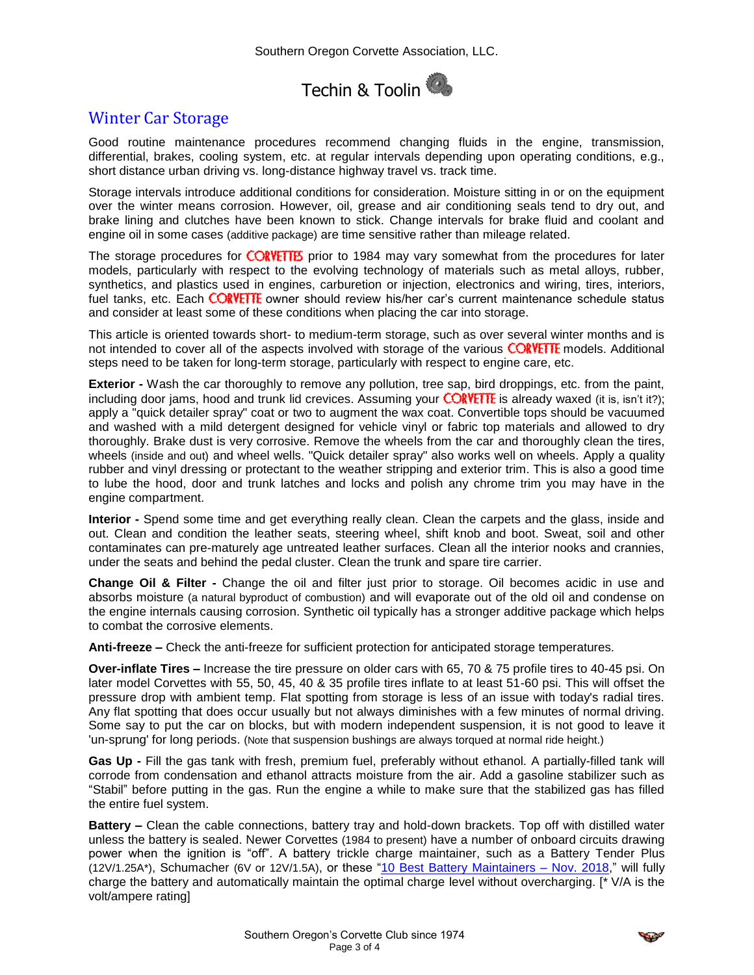

# Winter Car Storage

Good routine maintenance procedures recommend changing fluids in the engine, transmission, differential, brakes, cooling system, etc. at regular intervals depending upon operating conditions, e.g., short distance urban driving vs. long-distance highway travel vs. track time.

Storage intervals introduce additional conditions for consideration. Moisture sitting in or on the equipment over the winter means corrosion. However, oil, grease and air conditioning seals tend to dry out, and brake lining and clutches have been known to stick. Change intervals for brake fluid and coolant and engine oil in some cases (additive package) are time sensitive rather than mileage related.

The storage procedures for CORVETTES prior to 1984 may vary somewhat from the procedures for later models, particularly with respect to the evolving technology of materials such as metal alloys, rubber, synthetics, and plastics used in engines, carburetion or injection, electronics and wiring, tires, interiors, fuel tanks, etc. Each CORVETTE owner should review his/her car's current maintenance schedule status and consider at least some of these conditions when placing the car into storage.

This article is oriented towards short- to medium-term storage, such as over several winter months and is not intended to cover all of the aspects involved with storage of the various CORVETTE models. Additional steps need to be taken for long-term storage, particularly with respect to engine care, etc.

**Exterior -** Wash the car thoroughly to remove any pollution, tree sap, bird droppings, etc. from the paint, including door jams, hood and trunk lid crevices. Assuming your **CORVETTE** is already waxed (it is, isn't it?); apply a "quick detailer spray" coat or two to augment the wax coat. Convertible tops should be vacuumed and washed with a mild detergent designed for vehicle vinyl or fabric top materials and allowed to dry thoroughly. Brake dust is very corrosive. Remove the wheels from the car and thoroughly clean the tires, wheels (inside and out) and wheel wells. "Quick detailer spray" also works well on wheels. Apply a quality rubber and vinyl dressing or protectant to the weather stripping and exterior trim. This is also a good time to lube the hood, door and trunk latches and locks and polish any chrome trim you may have in the engine compartment.

**Interior -** Spend some time and get everything really clean. Clean the carpets and the glass, inside and out. Clean and condition the leather seats, steering wheel, shift knob and boot. Sweat, soil and other contaminates can pre-maturely age untreated leather surfaces. Clean all the interior nooks and crannies, under the seats and behind the pedal cluster. Clean the trunk and spare tire carrier.

**Change Oil & Filter -** Change the oil and filter just prior to storage. Oil becomes acidic in use and absorbs moisture (a natural byproduct of combustion) and will evaporate out of the old oil and condense on the engine internals causing corrosion. Synthetic oil typically has a stronger additive package which helps to combat the corrosive elements.

**Anti-freeze –** Check the anti-freeze for sufficient protection for anticipated storage temperatures.

**Over-inflate Tires –** Increase the tire pressure on older cars with 65, 70 & 75 profile tires to 40-45 psi. On later model Corvettes with 55, 50, 45, 40 & 35 profile tires inflate to at least 51-60 psi. This will offset the pressure drop with ambient temp. Flat spotting from storage is less of an issue with today's radial tires. Any flat spotting that does occur usually but not always diminishes with a few minutes of normal driving. Some say to put the car on blocks, but with modern independent suspension, it is not good to leave it 'un-sprung' for long periods. (Note that suspension bushings are always torqued at normal ride height.)

**Gas Up -** Fill the gas tank with fresh, premium fuel, preferably without ethanol. A partially-filled tank will corrode from condensation and ethanol attracts moisture from the air. Add a gasoline stabilizer such as "Stabil" before putting in the gas. Run the engine a while to make sure that the stabilized gas has filled the entire fuel system.

**Battery –** Clean the cable connections, battery tray and hold-down brackets. Top off with distilled water unless the battery is sealed. Newer Corvettes (1984 to present) have a number of onboard circuits drawing power when the ignition is "off". A battery trickle charge maintainer, such as a Battery Tender Plus (12V/1.25A\*), Schumacher (6V or 12V/1.5A), or these ["10 Best Battery Maintainers –](https://www.bestreviews.guide/battery-maintainers) Nov. 2018," will fully charge the battery and automatically maintain the optimal charge level without overcharging. [\* V/A is the volt/ampere rating]

$$
\mathcal{L}^{\mathcal{P}}
$$